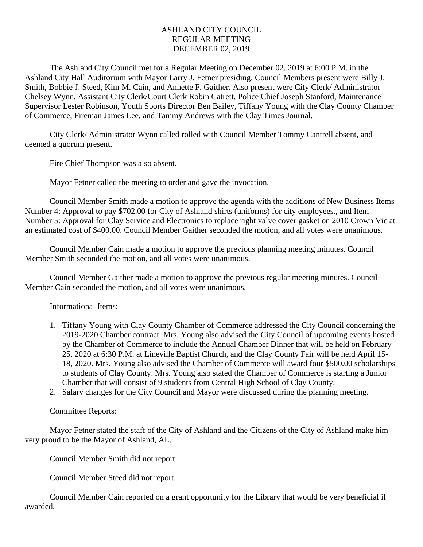## ASHLAND CITY COUNCIL REGULAR MEETING DECEMBER 02, 2019

The Ashland City Council met for a Regular Meeting on December 02, 2019 at 6:00 P.M. in the Ashland City Hall Auditorium with Mayor Larry J. Fetner presiding. Council Members present were Billy J. Smith, Bobbie J. Steed, Kim M. Cain, and Annette F. Gaither. Also present were City Clerk/ Administrator Chelsey Wynn, Assistant City Clerk/Court Clerk Robin Catrett, Police Chief Joseph Stanford, Maintenance Supervisor Lester Robinson, Youth Sports Director Ben Bailey, Tiffany Young with the Clay County Chamber of Commerce, Fireman James Lee, and Tammy Andrews with the Clay Times Journal.

City Clerk/ Administrator Wynn called rolled with Council Member Tommy Cantrell absent, and deemed a quorum present.

Fire Chief Thompson was also absent.

Mayor Fetner called the meeting to order and gave the invocation.

Council Member Smith made a motion to approve the agenda with the additions of New Business Items Number 4: Approval to pay \$702.00 for City of Ashland shirts (uniforms) for city employees., and Item Number 5: Approval for Clay Service and Electronics to replace right valve cover gasket on 2010 Crown Vic at an estimated cost of \$400.00. Council Member Gaither seconded the motion, and all votes were unanimous.

Council Member Cain made a motion to approve the previous planning meeting minutes. Council Member Smith seconded the motion, and all votes were unanimous.

Council Member Gaither made a motion to approve the previous regular meeting minutes. Council Member Cain seconded the motion, and all votes were unanimous.

Informational Items:

- 1. Tiffany Young with Clay County Chamber of Commerce addressed the City Council concerning the 2019-2020 Chamber contract. Mrs. Young also advised the City Council of upcoming events hosted by the Chamber of Commerce to include the Annual Chamber Dinner that will be held on February 25, 2020 at 6:30 P.M. at Lineville Baptist Church, and the Clay County Fair will be held April 15- 18, 2020. Mrs. Young also advised the Chamber of Commerce will award four \$500.00 scholarships to students of Clay County. Mrs. Young also stated the Chamber of Commerce is starting a Junior Chamber that will consist of 9 students from Central High School of Clay County.
- 2. Salary changes for the City Council and Mayor were discussed during the planning meeting.

Committee Reports:

Mayor Fetner stated the staff of the City of Ashland and the Citizens of the City of Ashland make him very proud to be the Mayor of Ashland, AL.

Council Member Smith did not report.

Council Member Steed did not report.

Council Member Cain reported on a grant opportunity for the Library that would be very beneficial if awarded.